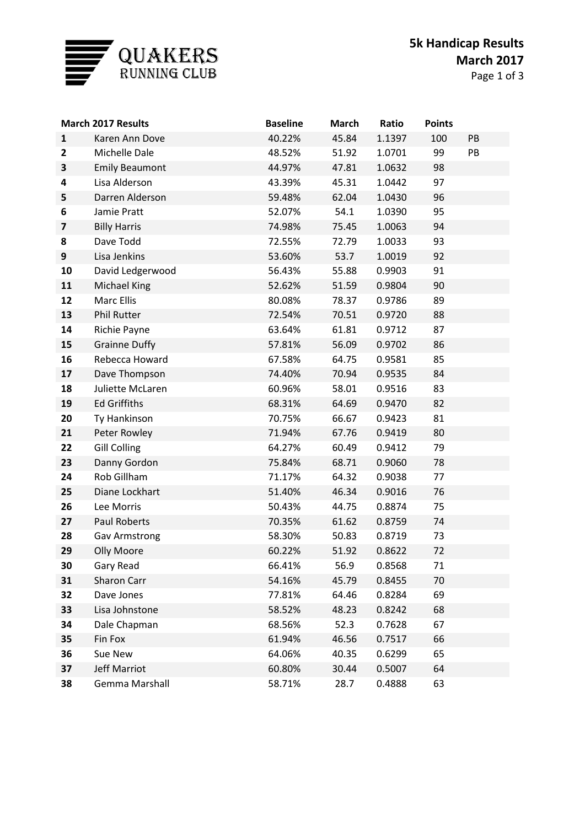

| Page 1 of 3 |  |  |  |
|-------------|--|--|--|
|-------------|--|--|--|

|                         | <b>March 2017 Results</b> | <b>Baseline</b> | <b>March</b> | Ratio  | <b>Points</b> |    |
|-------------------------|---------------------------|-----------------|--------------|--------|---------------|----|
| $\mathbf{1}$            | Karen Ann Dove            | 40.22%          | 45.84        | 1.1397 | 100           | PB |
| $\mathbf{2}$            | Michelle Dale             | 48.52%          | 51.92        | 1.0701 | 99            | PB |
| 3                       | <b>Emily Beaumont</b>     | 44.97%          | 47.81        | 1.0632 | 98            |    |
| 4                       | Lisa Alderson             | 43.39%          | 45.31        | 1.0442 | 97            |    |
| 5                       | Darren Alderson           | 59.48%          | 62.04        | 1.0430 | 96            |    |
| 6                       | Jamie Pratt               | 52.07%          | 54.1         | 1.0390 | 95            |    |
| $\overline{\mathbf{z}}$ | <b>Billy Harris</b>       | 74.98%          | 75.45        | 1.0063 | 94            |    |
| 8                       | Dave Todd                 | 72.55%          | 72.79        | 1.0033 | 93            |    |
| 9                       | Lisa Jenkins              | 53.60%          | 53.7         | 1.0019 | 92            |    |
| 10                      | David Ledgerwood          | 56.43%          | 55.88        | 0.9903 | 91            |    |
| 11                      | <b>Michael King</b>       | 52.62%          | 51.59        | 0.9804 | 90            |    |
| 12                      | <b>Marc Ellis</b>         | 80.08%          | 78.37        | 0.9786 | 89            |    |
| 13                      | <b>Phil Rutter</b>        | 72.54%          | 70.51        | 0.9720 | 88            |    |
| 14                      | Richie Payne              | 63.64%          | 61.81        | 0.9712 | 87            |    |
| 15                      | <b>Grainne Duffy</b>      | 57.81%          | 56.09        | 0.9702 | 86            |    |
| 16                      | Rebecca Howard            | 67.58%          | 64.75        | 0.9581 | 85            |    |
| 17                      | Dave Thompson             | 74.40%          | 70.94        | 0.9535 | 84            |    |
| 18                      | Juliette McLaren          | 60.96%          | 58.01        | 0.9516 | 83            |    |
| 19                      | <b>Ed Griffiths</b>       | 68.31%          | 64.69        | 0.9470 | 82            |    |
| 20                      | Ty Hankinson              | 70.75%          | 66.67        | 0.9423 | 81            |    |
| 21                      | Peter Rowley              | 71.94%          | 67.76        | 0.9419 | 80            |    |
| 22                      | <b>Gill Colling</b>       | 64.27%          | 60.49        | 0.9412 | 79            |    |
| 23                      | Danny Gordon              | 75.84%          | 68.71        | 0.9060 | 78            |    |
| 24                      | Rob Gillham               | 71.17%          | 64.32        | 0.9038 | 77            |    |
| 25                      | Diane Lockhart            | 51.40%          | 46.34        | 0.9016 | 76            |    |
| 26                      | Lee Morris                | 50.43%          | 44.75        | 0.8874 | 75            |    |
| 27                      | Paul Roberts              | 70.35%          | 61.62        | 0.8759 | 74            |    |
| 28                      | <b>Gav Armstrong</b>      | 58.30%          | 50.83        | 0.8719 | 73            |    |
| 29                      | Olly Moore                | 60.22%          | 51.92        | 0.8622 | 72            |    |
| 30                      | Gary Read                 | 66.41%          | 56.9         | 0.8568 | 71            |    |
| 31                      | Sharon Carr               | 54.16%          | 45.79        | 0.8455 | 70            |    |
| 32                      | Dave Jones                | 77.81%          | 64.46        | 0.8284 | 69            |    |
| 33                      | Lisa Johnstone            | 58.52%          | 48.23        | 0.8242 | 68            |    |
| 34                      | Dale Chapman              | 68.56%          | 52.3         | 0.7628 | 67            |    |
| 35                      | Fin Fox                   | 61.94%          | 46.56        | 0.7517 | 66            |    |
| 36                      | Sue New                   | 64.06%          | 40.35        | 0.6299 | 65            |    |
| 37                      | <b>Jeff Marriot</b>       | 60.80%          | 30.44        | 0.5007 | 64            |    |
| 38                      | Gemma Marshall            | 58.71%          | 28.7         | 0.4888 | 63            |    |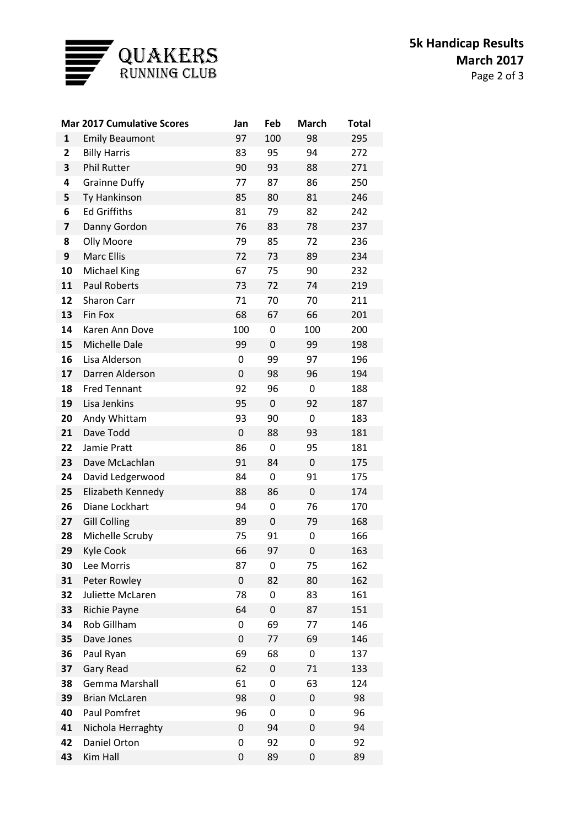

|                         | <b>Mar 2017 Cumulative Scores</b> | Jan | Feb | <b>March</b> | <b>Total</b> |
|-------------------------|-----------------------------------|-----|-----|--------------|--------------|
| 1                       | <b>Emily Beaumont</b>             | 97  | 100 | 98           | 295          |
| $\overline{\mathbf{2}}$ | <b>Billy Harris</b>               | 83  | 95  | 94           | 272          |
| 3                       | <b>Phil Rutter</b>                | 90  | 93  | 88           | 271          |
| 4                       | <b>Grainne Duffy</b>              | 77  | 87  | 86           | 250          |
| 5                       | Ty Hankinson                      | 85  | 80  | 81           | 246          |
| 6                       | <b>Ed Griffiths</b>               | 81  | 79  | 82           | 242          |
| 7                       | Danny Gordon                      | 76  | 83  | 78           | 237          |
| 8                       | Olly Moore                        | 79  | 85  | 72           | 236          |
| 9                       | <b>Marc Ellis</b>                 | 72  | 73  | 89           | 234          |
| 10                      | Michael King                      | 67  | 75  | 90           | 232          |
| 11                      | <b>Paul Roberts</b>               | 73  | 72  | 74           | 219          |
| 12                      | Sharon Carr                       | 71  | 70  | 70           | 211          |
| 13                      | Fin Fox                           | 68  | 67  | 66           | 201          |
| 14                      | Karen Ann Dove                    | 100 | 0   | 100          | 200          |
| 15                      | Michelle Dale                     | 99  | 0   | 99           | 198          |
| 16                      | Lisa Alderson                     | 0   | 99  | 97           | 196          |
| 17                      | Darren Alderson                   | 0   | 98  | 96           | 194          |
| 18                      | <b>Fred Tennant</b>               | 92  | 96  | 0            | 188          |
| 19                      | Lisa Jenkins                      | 95  | 0   | 92           | 187          |
| 20                      | Andy Whittam                      | 93  | 90  | 0            | 183          |
| 21                      | Dave Todd                         | 0   | 88  | 93           | 181          |
| 22                      | Jamie Pratt                       | 86  | 0   | 95           | 181          |
| 23                      | Dave McLachlan                    | 91  | 84  | 0            | 175          |
| 24                      | David Ledgerwood                  | 84  | 0   | 91           | 175          |
| 25                      | Elizabeth Kennedy                 | 88  | 86  | 0            | 174          |
| 26                      | Diane Lockhart                    | 94  | 0   | 76           | 170          |
| 27                      | <b>Gill Colling</b>               | 89  | 0   | 79           | 168          |
| 28                      | Michelle Scruby                   | 75  | 91  | 0            | 166          |
| 29                      | Kyle Cook                         | 66  | 97  | 0            | 163          |
| 30                      | Lee Morris                        | 87  | 0   | 75           | 162          |
| 31                      | Peter Rowley                      | 0   | 82  | 80           | 162          |
| 32                      | Juliette McLaren                  | 78  | 0   | 83           | 161          |
| 33                      | <b>Richie Payne</b>               | 64  | 0   | 87           | 151          |
| 34                      | Rob Gillham                       | 0   | 69  | 77           | 146          |
| 35                      | Dave Jones                        | 0   | 77  | 69           | 146          |
| 36                      | Paul Ryan                         | 69  | 68  | 0            | 137          |
| 37                      | Gary Read                         | 62  | 0   | 71           | 133          |
| 38                      | <b>Gemma Marshall</b>             | 61  | 0   | 63           | 124          |
| 39                      | <b>Brian McLaren</b>              | 98  | 0   | 0            | 98           |
| 40                      | Paul Pomfret                      | 96  | 0   | 0            | 96           |
| 41                      | Nichola Herraghty                 | 0   | 94  | 0            | 94           |
| 42                      | Daniel Orton                      | 0   | 92  | 0            | 92           |
| 43                      | Kim Hall                          | 0   | 89  | 0            | 89           |